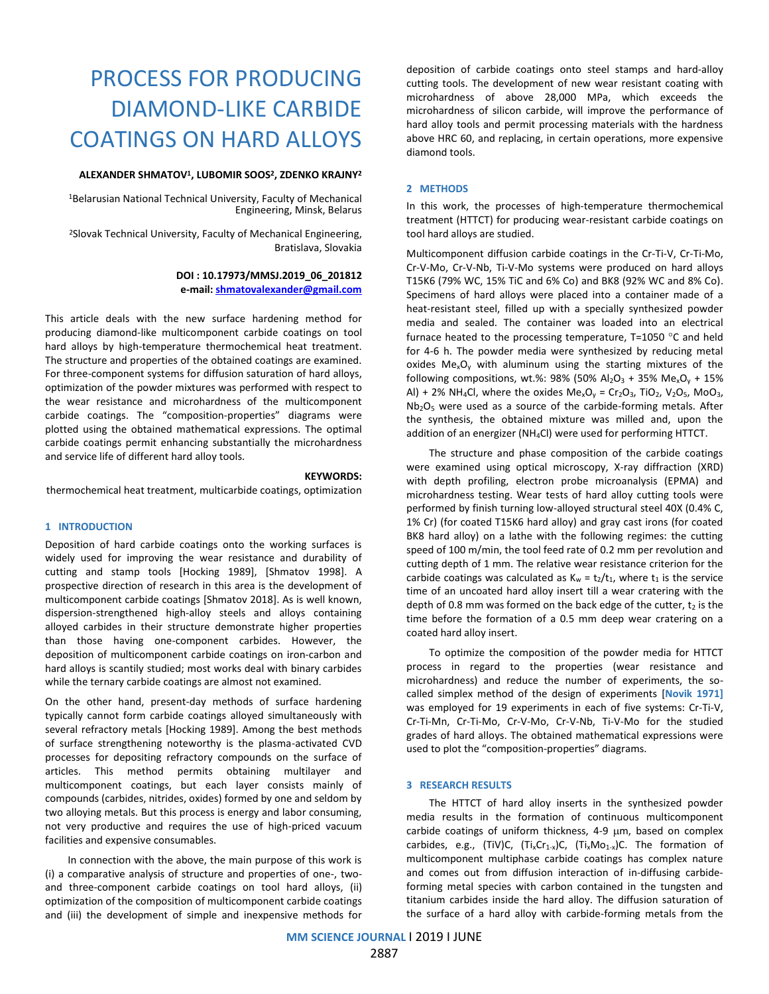# PROCESS FOR PRODUCING DIAMOND-LIKE CARBIDE COATINGS ON HARD ALLOYS

## **ALEXANDER SHMATOV<sup>1</sup> , LUBOMIR SOOS<sup>2</sup> , ZDENKO KRAJNY<sup>2</sup>**

<sup>1</sup>Belarusian National Technical University, Faculty of Mechanical Engineering, Minsk, Belarus

<sup>2</sup>Slovak Technical University, Faculty of Mechanical Engineering, Bratislava, Slovakia

# **DOI : 10.17973/MMSJ.2019\_06\_201812 e-mail: [shmatovalexander@gmail.com](mailto:shmatovalexander@gmail.com)**

This article deals with the new surface hardening method for producing diamond-like multicomponent carbide coatings on tool hard alloys by high-temperature thermochemical heat treatment. The structure and properties of the obtained coatings are examined. For three-component systems for diffusion saturation of hard alloys, optimization of the powder mixtures was performed with respect to the wear resistance and microhardness of the multicomponent carbide coatings. The "composition-properties" diagrams were plotted using the obtained mathematical expressions. The optimal carbide coatings permit enhancing substantially the microhardness and service life of different hard alloy tools.

#### **KEYWORDS:**

thermochemical heat treatment, multicarbide coatings, optimization

## **1 INTRODUCTION**

Deposition of hard carbide coatings onto the working surfaces is widely used for improving the wear resistance and durability of cutting and stamp tools [Hocking 1989], [Shmatov 1998]. A prospective direction of research in this area is the development of multicomponent carbide coatings [Shmatov 2018]. As is well known, dispersion-strengthened high-alloy steels and alloys containing alloyed carbides in their structure demonstrate higher properties than those having one-component carbides. However, the deposition of multicomponent carbide coatings on iron-carbon and hard alloys is scantily studied; most works deal with binary carbides while the ternary carbide coatings are almost not examined.

On the other hand, present-day methods of surface hardening typically cannot form carbide coatings alloyed simultaneously with several refractory metals [Hocking 1989]. Among the best methods of surface strengthening noteworthy is the plasma-activated CVD processes for depositing refractory compounds on the surface of articles. This method permits obtaining multilayer and multicomponent coatings, but each layer consists mainly of compounds (carbides, nitrides, oxides) formed by one and seldom by two alloying metals. But this process is energy and labor consuming, not very productive and requires the use of high-priced vacuum facilities and expensive consumables.

In connection with the above, the main purpose of this work is (i) a comparative analysis of structure and properties of one-, twoand three-component carbide coatings on tool hard alloys, (ii) optimization of the composition of multicomponent carbide coatings and (iii) the development of simple and inexpensive methods for

deposition of carbide coatings onto steel stamps and hard-alloy cutting tools. The development of new wear resistant coating with microhardness of above 28,000 MPa, which exceeds the microhardness of silicon carbide, will improve the performance of hard alloy tools and permit processing materials with the hardness above HRC 60, and replacing, in certain operations, more expensive diamond tools.

### **2 METHODS**

In this work, the processes of high-temperature thermochemical treatment (HTTCT) for producing wear-resistant carbide coatings on tool hard alloys are studied.

Multicomponent diffusion carbide coatings in the Cr-Ti-V, Cr-Ti-Mo, Cr-V-Mo, Cr-V-Nb, Ti-V-Mo systems were produced on hard alloys T15K6 (79% WC, 15% TiC and 6% Co) and BK8 (92% WC and 8% Co). Specimens of hard alloys were placed into a container made of a heat-resistant steel, filled up with a specially synthesized powder media and sealed. The container was loaded into an electrical furnace heated to the processing temperature,  $T=1050$  °C and held for 4-6 h. The powder media were synthesized by reducing metal oxides  $Me<sub>x</sub>O<sub>y</sub>$  with aluminum using the starting mixtures of the following compositions, wt.%: 98% (50% Al<sub>2</sub>O<sub>3</sub> + 35% Me<sub>x</sub>O<sub>v</sub> + 15%) Al) + 2% NH<sub>4</sub>Cl, where the oxides Me<sub>x</sub>O<sub>v</sub> = Cr<sub>2</sub>O<sub>3</sub>, TiO<sub>2</sub>, V<sub>2</sub>O<sub>5</sub>, MoO<sub>3</sub>, Nb2O<sup>5</sup> were used as a source of the carbide-forming metals. After the synthesis, the obtained mixture was milled and, upon the addition of an energizer (NH4Cl) were used for performing HTTCT.

The structure and phase composition of the carbide coatings were examined using optical microscopy, X-ray diffraction (XRD) with depth profiling, electron probe microanalysis (EPMA) and microhardness testing. Wear tests of hard alloy cutting tools were performed by finish turning low-alloyed structural steel 40X (0.4% C, 1% Cr) (for coated T15K6 hard alloy) and gray cast irons (for coated BK8 hard alloy) on a lathe with the following regimes: the cutting speed of 100 m/min, the tool feed rate of 0.2 mm per revolution and cutting depth of 1 mm. The relative wear resistance criterion for the carbide coatings was calculated as  $K_w = t_2/t_1$ , where  $t_1$  is the service time of an uncoated hard alloy insert till a wear cratering with the depth of 0.8 mm was formed on the back edge of the cutter,  $t_2$  is the time before the formation of a 0.5 mm deep wear cratering on a coated hard alloy insert.

To optimize the composition of the powder media for HTTCT process in regard to the properties (wear resistance and microhardness) and reduce the number of experiments, the socalled simplex method of the design of experiments [**Novik 1971]** was employed for 19 experiments in each of five systems: Cr-Ti-V, Cr-Ti-Mn, Cr-Ti-Mo, Cr-V-Mo, Cr-V-Nb, Ti-V-Mo for the studied grades of hard alloys. The obtained mathematical expressions were used to plot the "composition-properties" diagrams.

## **3 RESEARCH RESULTS**

The HTTCT of hard alloy inserts in the synthesized powder media results in the formation of continuous multicomponent carbide coatings of uniform thickness,  $4-9 \mu m$ , based on complex carbides, e.g., (TiV)C,  $(T_i x C r_{1-x}) C$ ,  $(T_i x MO_{1-x}) C$ . The formation of multicomponent multiphase carbide coatings has complex nature and comes out from diffusion interaction of in-diffusing carbideforming metal species with carbon contained in the tungsten and titanium carbides inside the hard alloy. The diffusion saturation of the surface of a hard alloy with carbide-forming metals from the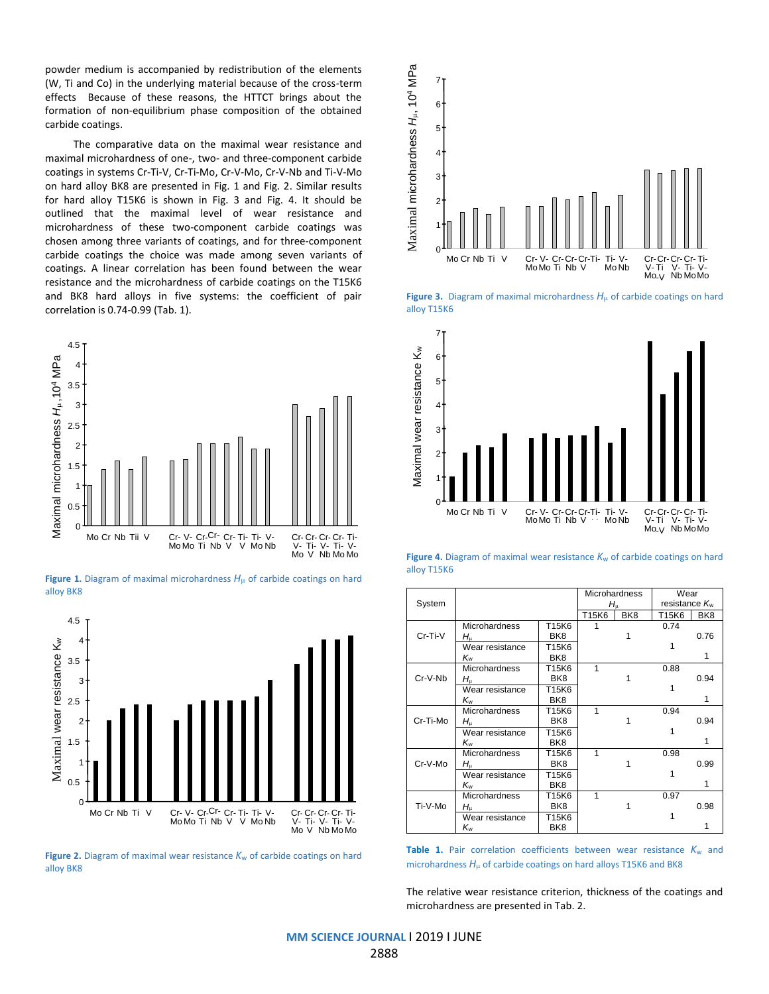powder medium is accompanied by redistribution of the elements (W, Ti and Co) in the underlying material because of the cross-term effects Because of these reasons, the HTTCT brings about the formation of non-equilibrium phase composition of the obtained carbide coatings.

The comparative data on the maximal wear resistance and maximal microhardness of one-, two- and three-component carbide coatings in systems Cr-Ti-V, Cr-Ti-Mo, Cr-V-Mo, Cr-V-Nb and Ti-V-Mo on hard alloy BK8 are presented in Fig. 1 and Fig. 2. Similar results for hard alloy T15K6 is shown in Fig. 3 and Fig. 4. It should be outlined that the maximal level of wear resistance and microhardness of these two-component carbide coatings was chosen among three variants of coatings, and for three-component carbide coatings the choice was made among seven variants of coatings. A linear correlation has been found between the wear resistance and the microhardness of carbide coatings on the T15K6 and BK8 hard alloys in five systems: the coefficient of pair correlation is 0.74-0.99 (Tab. 1).



**Figure 1.** Diagram of maximal microhardness  $H<sub>u</sub>$  of carbide coatings on hard alloy BK8



**Figure 2.** Diagram of maximal wear resistance  $K_w$  of carbide coatings on hard alloy BK8



**Figure 3.** Diagram of maximal microhardness  $H<sub>\mu</sub>$  of carbide coatings on hard alloy T15K6



**Figure 4.** Diagram of maximal wear resistance  $K_w$  of carbide coatings on hard alloy T15K6

|          |                      |                 |             | <b>Microhardness</b> | Wear                      |                 |
|----------|----------------------|-----------------|-------------|----------------------|---------------------------|-----------------|
| System   |                      |                 | $H_{\rm u}$ |                      | resistance K <sub>w</sub> |                 |
|          |                      |                 | T15K6       | BK <sub>8</sub>      | T15K6                     | BK <sub>8</sub> |
|          | <b>Microhardness</b> | T15K6           |             |                      | 0.74                      |                 |
| Cr-Ti-V  | $H_{\mathfrak{u}}$   | BK <sub>8</sub> |             |                      |                           | 0.76            |
|          | Wear resistance      | T15K6           |             |                      |                           |                 |
|          | Kw                   | BK <sub>8</sub> |             |                      |                           |                 |
|          | <b>Microhardness</b> | T15K6           | 1           |                      | 0.88                      |                 |
| Cr-V-Nb  | $H_{\rm u}$          | BK8             |             |                      |                           | 0.94            |
|          | Wear resistance      | T15K6           |             |                      |                           |                 |
|          | Κw                   | BK <sub>8</sub> |             |                      |                           | 1               |
|          | <b>Microhardness</b> | T15K6           | 1           |                      | 0.94                      |                 |
| Cr-Ti-Mo | $H_{\mathfrak{u}}$   | BK <sub>8</sub> |             |                      |                           | 0.94            |
|          | Wear resistance      | T15K6           |             |                      |                           |                 |
|          | Kw                   | BK <sub>8</sub> |             |                      |                           |                 |
|          | Microhardness        | T15K6           | 1           |                      | 0.98                      |                 |
| Cr-V-Mo  | $H_{\mathfrak{u}}$   | BK <sub>8</sub> |             |                      |                           | 0.99            |
|          | Wear resistance      | T15K6           |             |                      |                           |                 |
|          | Κw                   | BK <sub>8</sub> |             |                      |                           | 1               |
|          | <b>Microhardness</b> | T15K6           | 1           |                      | 0.97                      |                 |
| Ti-V-Mo  | $H_{\mathfrak{u}}$   | BK <sub>8</sub> |             |                      |                           | 0.98            |
|          | Wear resistance      | T15K6           |             |                      |                           |                 |
|          | Κw                   | BK <sub>8</sub> |             |                      |                           |                 |

Table 1. Pair correlation coefficients between wear resistance  $K_w$  and microhardness  $H_{\mu}$  of carbide coatings on hard alloys T15K6 and BK8

The relative wear resistance criterion, thickness of the coatings and microhardness are presented in Tab. 2.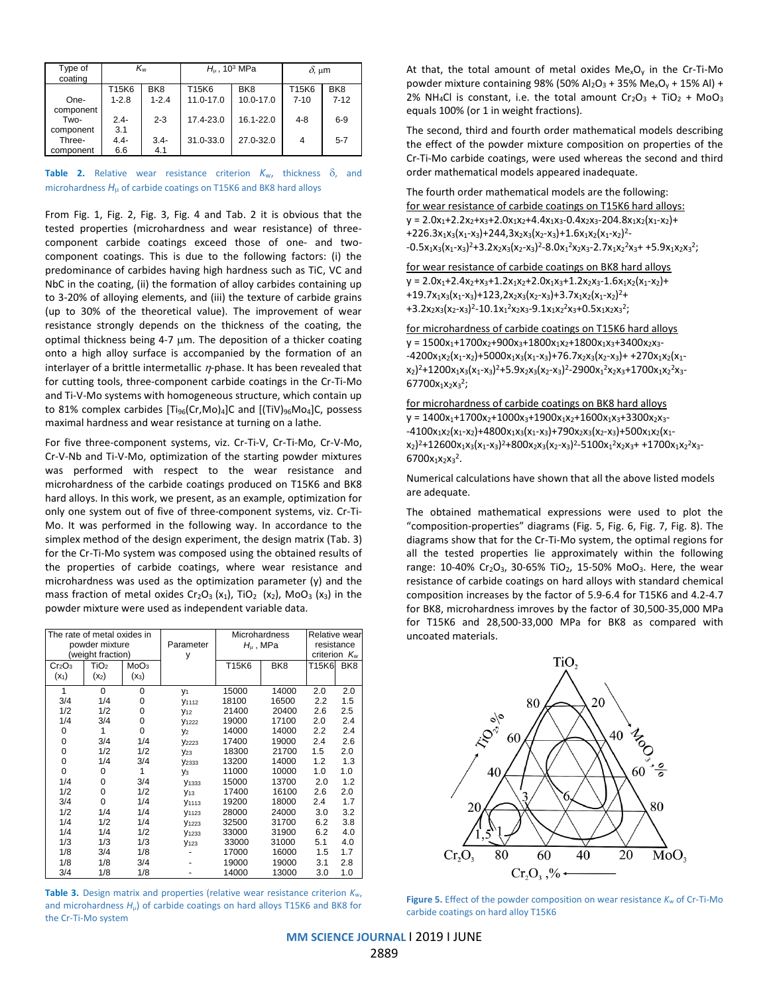| Type of<br>coating | Kw        |                 |           | $H_{\mu}$ , 10 <sup>3</sup> MPa | $δ$ , μm |                 |  |
|--------------------|-----------|-----------------|-----------|---------------------------------|----------|-----------------|--|
|                    | T15K6     | BK <sub>8</sub> | T15K6     | BK <sub>8</sub>                 | T15K6    | BK <sub>8</sub> |  |
| One-               | $1 - 2.8$ | $1 - 2.4$       | 11.0-17.0 | 10.0-17.0                       | $7 - 10$ | $7 - 12$        |  |
| component          |           |                 |           |                                 |          |                 |  |
| Two-               | $2.4 -$   | $2 - 3$         | 17.4-23.0 | 16.1-22.0                       | $4 - 8$  | $6-9$           |  |
| component          | 3.1       |                 |           |                                 |          |                 |  |
| Three-             | $4.4 -$   | $3.4 -$         | 31.0-33.0 | 27.0-32.0                       | 4        | $5 - 7$         |  |
| component          | 6.6       | 4.1             |           |                                 |          |                 |  |

**Table 2.** Relative wear resistance criterion  $K_w$ , thickness  $\delta$ , and microhardness  $H_{\mu}$  of carbide coatings on T15K6 and BK8 hard alloys

From Fig. 1, Fig. 2, Fig. 3, Fig. 4 and Tab. 2 it is obvious that the tested properties (microhardness and wear resistance) of threecomponent carbide coatings exceed those of one- and twocomponent coatings. This is due to the following factors: (i) the predominance of carbides having high hardness such as TiC, VC and NbC in the coating, (ii) the formation of alloy carbides containing up to 3-20% of alloying elements, and (iii) the texture of carbide grains (up to 30% of the theoretical value). The improvement of wear resistance strongly depends on the thickness of the coating, the optimal thickness being 4-7 µm. The deposition of a thicker coating onto a high alloy surface is accompanied by the formation of an interlayer of a brittle intermetallic  $\eta$ -phase. It has been revealed that for cutting tools, three-component carbide coatings in the Cr-Ti-Mo and Ti-V-Mo systems with homogeneous structure, which contain up to 81% complex carbides  $[Ti_{96}(Cr, Mo)_4]C$  and  $[(TiV)_{96}Mo_4]C$ , possess maximal hardness and wear resistance at turning on a lathe.

For five three-component systems, viz. Cr-Ti-V, Cr-Ti-Mo, Cr-V-Mo, Cr-V-Nb and Ti-V-Mo, optimization of the starting powder mixtures was performed with respect to the wear resistance and microhardness of the carbide coatings produced on T15K6 and BK8 hard alloys. In this work, we present, as an example, optimization for only one system out of five of three-component systems, viz. Cr-Ti-Mo. It was performed in the following way. In accordance to the simplex method of the design experiment, the design matrix (Tab. 3) for the Cr-Ti-Mo system was composed using the obtained results of the properties of carbide coatings, where wear resistance and microhardness was used as the optimization parameter (y) and the mass fraction of metal oxides  $Cr_2O_3(x_1)$ , TiO<sub>2</sub> (x<sub>2</sub>), MoO<sub>3</sub> (x<sub>3</sub>) in the powder mixture were used as independent variable data.

| The rate of metal oxides in    |                  |                  |                      | <b>Microhardness</b> |                 | Relative wear |                 |
|--------------------------------|------------------|------------------|----------------------|----------------------|-----------------|---------------|-----------------|
| powder mixture                 |                  | Parameter        | $H_{\mu}$ , MPa      |                      | resistance      |               |                 |
| (weight fraction)              |                  | У                |                      |                      | criterion $K_w$ |               |                 |
| Cr <sub>2</sub> O <sub>3</sub> | TiO <sub>2</sub> | MoO <sub>3</sub> |                      | T15K6                | BK <sub>8</sub> | T15K6         | BK <sub>8</sub> |
| $(x_1)$                        | $(x_2)$          | $(x_3)$          |                      |                      |                 |               |                 |
| 1                              | 0                | $\Omega$         | V <sub>1</sub>       | 15000                | 14000           | 2.0           | 2.0             |
| 3/4                            | 1/4              | $\Omega$         | V <sub>1112</sub>    | 18100                | 16500           | 2.2           | 1.5             |
| 1/2                            | 1/2              | $\Omega$         | <b>Y</b> 12          | 21400                | 20400           | 2.6           | 2.5             |
| 1/4                            | 3/4              | $\Omega$         | <b>Y</b> 1222        | 19000                | 17100           | 2.0           | 2.4             |
| 0                              | 1                | $\Omega$         | <b>V<sub>2</sub></b> | 14000                | 14000           | 2.2           | 2.4             |
| 0                              | 3/4              | 1/4              | V <sub>2223</sub>    | 17400                | 19000           | 2.4           | 2.6             |
| 0                              | 1/2              | 1/2              | <b>Y23</b>           | 18300                | 21700           | 1.5           | 2.0             |
| 0                              | 1/4              | 3/4              | V <sub>2333</sub>    | 13200                | 14000           | 1.2           | 1.3             |
| $\Omega$                       | 0                | 1                | Vз                   | 11000                | 10000           | 1.0           | 1.0             |
| 1/4                            | 0                | 3/4              | <b>Y</b> 1333        | 15000                | 13700           | 2.0           | 1.2             |
| 1/2                            | 0                | 1/2              | <b>Y</b> 13          | 17400                | 16100           | 2.6           | 2.0             |
| 3/4                            | 0                | 1/4              | V <sub>1113</sub>    | 19200                | 18000           | 2.4           | 1.7             |
| 1/2                            | 1/4              | 1/4              | <b>y</b> 1123        | 28000                | 24000           | 3.0           | 3.2             |
| 1/4                            | 1/2              | 1/4              | V <sub>1223</sub>    | 32500                | 31700           | 6.2           | 3.8             |
| 1/4                            | 1/4              | 1/2              | V <sub>1233</sub>    | 33000                | 31900           | 6.2           | 4.0             |
| 1/3                            | 1/3              | 1/3              | V <sub>123</sub>     | 33000                | 31000           | 5.1           | 4.0             |
| 1/8                            | 3/4              | 1/8              |                      | 17000                | 16000           | 1.5           | 1.7             |
| 1/8                            | 1/8              | 3/4              |                      | 19000                | 19000           | 3.1           | 2.8             |
| 3/4                            | 1/8              | 1/8              |                      | 14000                | 13000           | 3.0           | 1.0             |

**Table 3.** Design matrix and properties (relative wear resistance criterion *K*w, and microhardness *H*<sub>u</sub>) of carbide coatings on hard alloys T15K6 and BK8 for the Cr-Ti-Mo system

At that, the total amount of metal oxides  $Me<sub>x</sub>O<sub>y</sub>$  in the Cr-Ti-Mo powder mixture containing 98% (50%  $Al_2O_3 + 35%$  Me<sub>x</sub>O<sub>v</sub> + 15% Al) + 2% NH<sub>4</sub>Cl is constant, i.e. the total amount  $Cr_2O_3 + TiO_2 + MoO_3$ equals 100% (or 1 in weight fractions).

The second, third and fourth order mathematical models describing the effect of the powder mixture composition on properties of the Cr-Ti-Mo carbide coatings, were used whereas the second and third order mathematical models appeared inadequate.

The fourth order mathematical models are the following: for wear resistance of carbide coatings on T15K6 hard alloys:  $y = 2.0x_1+2.2x_2+x_3+2.0x_1x_2+4.4x_1x_3-0.4x_2x_3-204.8x_1x_2(x_1-x_2)+$  $+226.3x_1x_3(x_1-x_3)+244,3x_2x_3(x_2-x_3)+1.6x_1x_2(x_1-x_2)^2$  $-0.5x_1x_3(x_1-x_3)^2+3.2x_2x_3(x_2-x_3)^2-8.0x_1^2x_2x_3-2.7x_1x_2^2x_3+ +5.9x_1x_2x_3^2$ 

for wear resistance of carbide coatings on BK8 hard alloys  $y = 2.0x_1+2.4x_2+x_3+1.2x_1x_2+2.0x_1x_3+1.2x_2x_3-1.6x_1x_2(x_1-x_2)+$  $+19.7x_1x_3(x_1-x_3)+123,2x_2x_3(x_2-x_3)+3.7x_1x_2(x_1-x_2)^2+$ +3.2x<sub>2</sub>x<sub>3</sub>(x<sub>2</sub>-x<sub>3</sub>)<sup>2</sup>-10.1x<sub>1</sub><sup>2</sup>x<sub>2</sub>x<sub>3</sub>-9.1x<sub>1</sub>x<sub>2</sub><sup>2</sup>x<sub>3</sub>+0.5x<sub>1</sub>x<sub>2</sub>x<sub>3</sub><sup>2</sup>;

for microhardness of carbide coatings on T15K6 hard alloys  $y = 1500x_1+1700x_2+900x_3+1800x_1x_2+1800x_1x_3+3400x_2x_3 -4200x_1x_2(x_1-x_2)+5000x_1x_3(x_1-x_3)+76.7x_2x_3(x_2-x_3)++270x_1x_2(x_1-x_2)$  $(x_2)^2+1200x_1x_3(x_1-x_3)^2+5.9x_2x_3(x_2-x_3)^2-2900x_1^2x_2x_3+1700x_1x_2^2x_3+$  $67700x_1x_2x_3^2;$ 

for microhardness of carbide coatings on BK8 hard alloys  $y = 1400x_1+1700x_2+1000x_3+1900x_1x_2+1600x_1x_3+3300x_2x_3 -4100x_1x_2(x_1-x_2)+4800x_1x_3(x_1-x_3)+790x_2x_3(x_2-x_3)+500x_1x_2(x_1-x_2)$  $x_2$ )<sup>2</sup>+12600x<sub>1</sub>x<sub>3</sub>(x<sub>1</sub>-x<sub>3</sub>)<sup>2</sup>+800x<sub>2</sub>x<sub>3</sub>(x<sub>2</sub>-x<sub>3</sub>)<sup>2</sup>-5100x<sub>1</sub><sup>2</sup>x<sub>2</sub>x<sub>3</sub>+ +1700x<sub>1</sub>x<sub>2</sub><sup>2</sup>x<sub>3</sub>- $6700x_1x_2x_3^2$ .

Numerical calculations have shown that all the above listed models are adequate.

The obtained mathematical expressions were used to plot the "composition-properties" diagrams (Fig. 5, Fig. 6, Fig. 7, Fig. 8). The diagrams show that for the Cr-Ti-Mo system, the optimal regions for all the tested properties lie approximately within the following range: 10-40% Cr<sub>2</sub>O<sub>3</sub>, 30-65% TiO<sub>2</sub>, 15-50% MoO<sub>3</sub>. Here, the wear resistance of carbide coatings on hard alloys with standard chemical composition increases by the factor of 5.9-6.4 for T15K6 and 4.2-4.7 for BK8, microhardness imroves by the factor of 30,500-35,000 MPa for T15K6 and 28,500-33,000 MPa for BK8 as compared with uncoated materials.



**Figure 5.** Effect of the powder composition on wear resistance  $K_w$  of Cr-Ti-Mo carbide coatings on hard alloy T15K6